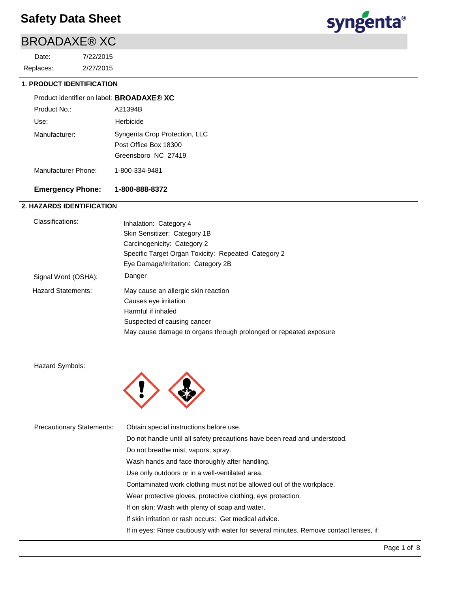# BROADAXE® XC

2/27/2015 7/22/2015 Replaces: Date:



## **1. PRODUCT IDENTIFICATION**

| Product identifier on label: <b>BROADAXE® XC</b> |                                                                               |
|--------------------------------------------------|-------------------------------------------------------------------------------|
| Product No.:                                     | A21394B                                                                       |
| Use:                                             | Herbicide                                                                     |
| Manufacturer:                                    | Syngenta Crop Protection, LLC<br>Post Office Box 18300<br>Greensboro NC 27419 |
| Manufacturer Phone:                              | 1-800-334-9481                                                                |

## **Emergency Phone: 1-800-888-8372**

## **2. HAZARDS IDENTIFICATION**

| Classifications:    | Inhalation: Category 4                                            |
|---------------------|-------------------------------------------------------------------|
|                     | Skin Sensitizer: Category 1B                                      |
|                     | Carcinogenicity: Category 2                                       |
|                     | Specific Target Organ Toxicity: Repeated Category 2               |
|                     | Eye Damage/Irritation: Category 2B                                |
| Signal Word (OSHA): | Danger                                                            |
| Hazard Statements:  | May cause an allergic skin reaction                               |
|                     | Causes eye irritation                                             |
|                     | Harmful if inhaled                                                |
|                     | Suspected of causing cancer                                       |
|                     | May cause damage to organs through prolonged or repeated exposure |

Hazard Symbols:



| <b>Precautionary Statements:</b> | Obtain special instructions before use.                                                |
|----------------------------------|----------------------------------------------------------------------------------------|
|                                  | Do not handle until all safety precautions have been read and understood.              |
|                                  | Do not breathe mist, vapors, spray.                                                    |
|                                  | Wash hands and face thoroughly after handling.                                         |
|                                  | Use only outdoors or in a well-ventilated area.                                        |
|                                  | Contaminated work clothing must not be allowed out of the workplace.                   |
|                                  | Wear protective gloves, protective clothing, eye protection.                           |
|                                  | If on skin: Wash with plenty of soap and water.                                        |
|                                  | If skin irritation or rash occurs: Get medical advice.                                 |
|                                  | If in eyes: Rinse cautiously with water for several minutes. Remove contact lenses, if |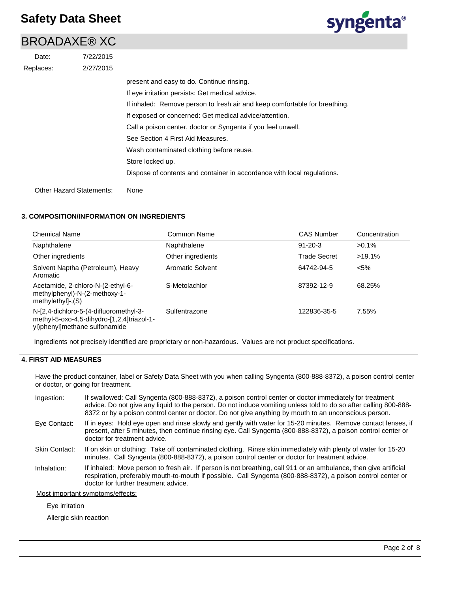## BROADAXE® XC

| Date:     | 7/22/2015                       |                                                                            |
|-----------|---------------------------------|----------------------------------------------------------------------------|
| Replaces: | 2/27/2015                       |                                                                            |
|           |                                 | present and easy to do. Continue rinsing.                                  |
|           |                                 | If eye irritation persists: Get medical advice.                            |
|           |                                 | If inhaled: Remove person to fresh air and keep comfortable for breathing. |
|           |                                 | If exposed or concerned: Get medical advice/attention.                     |
|           |                                 | Call a poison center, doctor or Syngenta if you feel unwell.               |
|           |                                 | See Section 4 First Aid Measures.                                          |
|           |                                 | Wash contaminated clothing before reuse.                                   |
|           |                                 | Store locked up.                                                           |
|           |                                 | Dispose of contents and container in accordance with local regulations.    |
|           | <b>Other Hazard Statements:</b> | None                                                                       |

## **3. COMPOSITION/INFORMATION ON INGREDIENTS**

| <b>Chemical Name</b>                                                                                                  | Common Name             | <b>CAS Number</b>   | Concentration |
|-----------------------------------------------------------------------------------------------------------------------|-------------------------|---------------------|---------------|
| Naphthalene                                                                                                           | Naphthalene             | $91 - 20 - 3$       | $>0.1\%$      |
| Other ingredients                                                                                                     | Other ingredients       | <b>Trade Secret</b> | $>19.1\%$     |
| Solvent Naptha (Petroleum), Heavy<br>Aromatic                                                                         | <b>Aromatic Solvent</b> | 64742-94-5          | $< 5\%$       |
| Acetamide, 2-chloro-N-(2-ethyl-6-<br>methylphenyl)-N-(2-methoxy-1-<br>$methylethyl-.$ (S)                             | S-Metolachlor           | 87392-12-9          | 68.25%        |
| N-[2,4-dichloro-5-(4-difluoromethyl-3-<br>methyl-5-oxo-4,5-dihydro-[1,2,4]triazol-1-<br>yl)phenyl]methane sulfonamide | Sulfentrazone           | 122836-35-5         | 7.55%         |

Ingredients not precisely identified are proprietary or non-hazardous. Values are not product specifications.

### **4. FIRST AID MEASURES**

Have the product container, label or Safety Data Sheet with you when calling Syngenta (800-888-8372), a poison control center or doctor, or going for treatment.

- If swallowed: Call Syngenta (800-888-8372), a poison control center or doctor immediately for treatment advice. Do not give any liquid to the person. Do not induce vomiting unless told to do so after calling 800-888- 8372 or by a poison control center or doctor. Do not give anything by mouth to an unconscious person. Ingestion:
- If in eyes: Hold eye open and rinse slowly and gently with water for 15-20 minutes. Remove contact lenses, if present, after 5 minutes, then continue rinsing eye. Call Syngenta (800-888-8372), a poison control center or doctor for treatment advice. Eye Contact:
- If on skin or clothing: Take off contaminated clothing. Rinse skin immediately with plenty of water for 15-20 minutes. Call Syngenta (800-888-8372), a poison control center or doctor for treatment advice. Skin Contact:
- If inhaled: Move person to fresh air. If person is not breathing, call 911 or an ambulance, then give artificial respiration, preferably mouth-to-mouth if possible. Call Syngenta (800-888-8372), a poison control center or doctor for further treatment advice. Inhalation:

Most important symptoms/effects:

### Eye irritation

Allergic skin reaction

syngenta®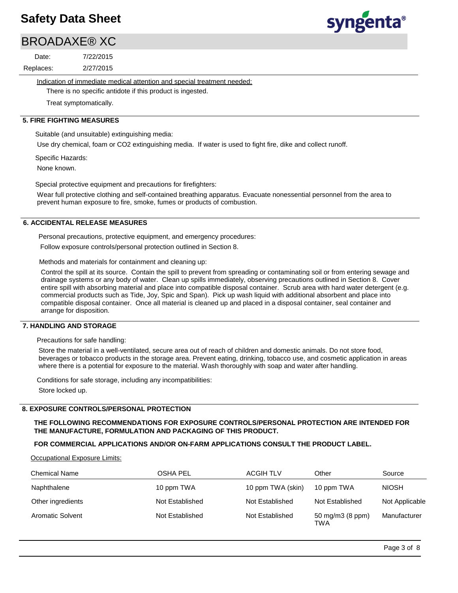# BROADAXE® XC

2/27/2015 7/22/2015 Replaces: Date:

Indication of immediate medical attention and special treatment needed:

There is no specific antidote if this product is ingested.

Treat symptomatically.

## **5. FIRE FIGHTING MEASURES**

Suitable (and unsuitable) extinguishing media:

Use dry chemical, foam or CO2 extinguishing media. If water is used to fight fire, dike and collect runoff.

Specific Hazards:

None known.

Special protective equipment and precautions for firefighters:

Wear full protective clothing and self-contained breathing apparatus. Evacuate nonessential personnel from the area to prevent human exposure to fire, smoke, fumes or products of combustion.

## **6. ACCIDENTAL RELEASE MEASURES**

Personal precautions, protective equipment, and emergency procedures:

Follow exposure controls/personal protection outlined in Section 8.

Methods and materials for containment and cleaning up:

Control the spill at its source. Contain the spill to prevent from spreading or contaminating soil or from entering sewage and drainage systems or any body of water. Clean up spills immediately, observing precautions outlined in Section 8. Cover entire spill with absorbing material and place into compatible disposal container. Scrub area with hard water detergent (e.g. commercial products such as Tide, Joy, Spic and Span). Pick up wash liquid with additional absorbent and place into compatible disposal container. Once all material is cleaned up and placed in a disposal container, seal container and arrange for disposition.

### **7. HANDLING AND STORAGE**

Precautions for safe handling:

Store the material in a well-ventilated, secure area out of reach of children and domestic animals. Do not store food, beverages or tobacco products in the storage area. Prevent eating, drinking, tobacco use, and cosmetic application in areas where there is a potential for exposure to the material. Wash thoroughly with soap and water after handling.

Conditions for safe storage, including any incompatibilities:

Store locked up.

## **8. EXPOSURE CONTROLS/PERSONAL PROTECTION**

## **THE FOLLOWING RECOMMENDATIONS FOR EXPOSURE CONTROLS/PERSONAL PROTECTION ARE INTENDED FOR THE MANUFACTURE, FORMULATION AND PACKAGING OF THIS PRODUCT.**

## **FOR COMMERCIAL APPLICATIONS AND/OR ON-FARM APPLICATIONS CONSULT THE PRODUCT LABEL.**

Occupational Exposure Limits:

| <b>Chemical Name</b>    | OSHA PEL        | <b>ACGIH TLV</b>  | Other                   | Source         |
|-------------------------|-----------------|-------------------|-------------------------|----------------|
| Naphthalene             | 10 ppm TWA      | 10 ppm TWA (skin) | 10 ppm TWA              | <b>NIOSH</b>   |
| Other ingredients       | Not Established | Not Established   | Not Established         | Not Applicable |
| <b>Aromatic Solvent</b> | Not Established | Not Established   | 50 mg/m3 (8 ppm)<br>TWA | Manufacturer   |

syngenta®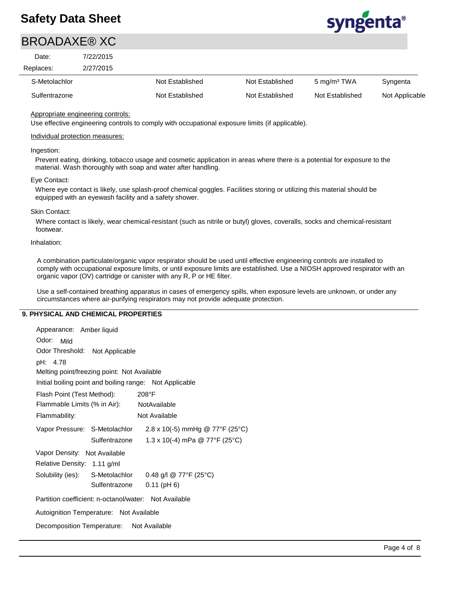

# BROADAXE® XC

| Date:         | 7/22/2015 |                 |                 |                         |                |
|---------------|-----------|-----------------|-----------------|-------------------------|----------------|
| Replaces:     | 2/27/2015 |                 |                 |                         |                |
| S-Metolachlor |           | Not Established | Not Established | 5 mg/m <sup>3</sup> TWA | Syngenta       |
| Sulfentrazone |           | Not Established | Not Established | Not Established         | Not Applicable |

Appropriate engineering controls:

Use effective engineering controls to comply with occupational exposure limits (if applicable).

### Individual protection measures:

### Ingestion:

Prevent eating, drinking, tobacco usage and cosmetic application in areas where there is a potential for exposure to the material. Wash thoroughly with soap and water after handling.

### Eye Contact:

Where eye contact is likely, use splash-proof chemical goggles. Facilities storing or utilizing this material should be equipped with an eyewash facility and a safety shower.

### Skin Contact:

Where contact is likely, wear chemical-resistant (such as nitrile or butyl) gloves, coveralls, socks and chemical-resistant footwear.

### Inhalation:

A combination particulate/organic vapor respirator should be used until effective engineering controls are installed to comply with occupational exposure limits, or until exposure limits are established. Use a NIOSH approved respirator with an organic vapor (OV) cartridge or canister with any R, P or HE filter.

Use a self-contained breathing apparatus in cases of emergency spills, when exposure levels are unknown, or under any circumstances where air-purifying respirators may not provide adequate protection.

## **9. PHYSICAL AND CHEMICAL PROPERTIES**

| Appearance: Amber liquid                              |               |                                                                        |  |  |  |
|-------------------------------------------------------|---------------|------------------------------------------------------------------------|--|--|--|
| Odor:<br>Mild                                         |               |                                                                        |  |  |  |
| Odor Threshold: Not Applicable                        |               |                                                                        |  |  |  |
| pH: 4.78                                              |               |                                                                        |  |  |  |
| Melting point/freezing point: Not Available           |               |                                                                        |  |  |  |
|                                                       |               | Initial boiling point and boiling range: Not Applicable                |  |  |  |
| Flash Point (Test Method):                            |               | $208^{\circ}$ F                                                        |  |  |  |
| Flammable Limits (% in Air): NotAvailable             |               |                                                                        |  |  |  |
| Flammability:                                         |               | Not Available                                                          |  |  |  |
| Vapor Pressure: S-Metolachlor                         |               | 2.8 x 10(-5) mmHg @ 77°F (25°C)                                        |  |  |  |
|                                                       | Sulfentrazone | 1.3 x 10(-4) mPa @ 77°F (25°C)                                         |  |  |  |
| Vapor Density: Not Available                          |               |                                                                        |  |  |  |
| Relative Density: 1.11 g/ml                           |               |                                                                        |  |  |  |
|                                                       |               | Solubility (ies): S-Metolachlor 0.48 g/l $@ 77^{\circ}F (25^{\circ}C)$ |  |  |  |
|                                                       | Sulfentrazone | $0.11$ (pH 6)                                                          |  |  |  |
| Partition coefficient: n-octanol/water: Not Available |               |                                                                        |  |  |  |
| Autoignition Temperature: Not Available               |               |                                                                        |  |  |  |
| Decomposition Temperature: Not Available              |               |                                                                        |  |  |  |
|                                                       |               |                                                                        |  |  |  |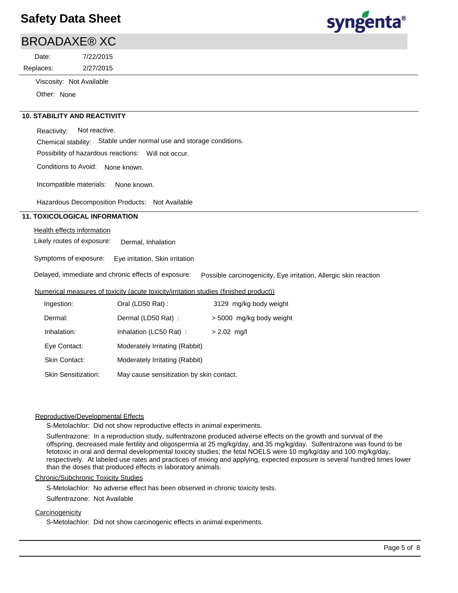# syngenta®

|           | <b>BROADAXE® XC</b>      |  |
|-----------|--------------------------|--|
| Date:     | 7/22/2015                |  |
| Replaces: | 2/27/2015                |  |
|           | Viscosity: Not Available |  |

Other: None

## **10. STABILITY AND REACTIVITY**

Reactivity: Not reactive.

Chemical stability: Stable under normal use and storage conditions.

Possibility of hazardous reactions: Will not occur.

Conditions to Avoid: None known.

Incompatible materials: None known.

Hazardous Decomposition Products: Not Available

## **11. TOXICOLOGICAL INFORMATION**

### Health effects information

Likely routes of exposure: Dermal, Inhalation

Symptoms of exposure: Eye irritation, Skin irritation

Delayed, immediate and chronic effects of exposure: Possible carcinogenicity, Eye irritation, Allergic skin reaction

## Numerical measures of toxicity (acute toxicity/irritation studies (finished product))

| Ingestion:                 | Oral (LD50 Rat):                         | 3129 mg/kg body weight   |
|----------------------------|------------------------------------------|--------------------------|
| Dermal:                    | Dermal (LD50 Rat) :                      | > 5000 mg/kg body weight |
| Inhalation:                | Inhalation (LC50 Rat):                   | $> 2.02$ mg/l            |
| Eye Contact:               | Moderately Irritating (Rabbit)           |                          |
| <b>Skin Contact:</b>       | Moderately Irritating (Rabbit)           |                          |
| <b>Skin Sensitization:</b> | May cause sensitization by skin contact. |                          |

## Reproductive/Developmental Effects

S-Metolachlor: Did not show reproductive effects in animal experiments.

Sulfentrazone: In a reproduction study, sulfentrazone produced adverse effects on the growth and survival of the offspring, decreased male fertility and oligospermia at 25 mg/kg/day, and 35 mg/kg/day. Sulfentrazone was found to be fetotoxic in oral and dermal developmental toxicity studies; the fetal NOELS were 10 mg/kg/day and 100 mg/kg/day, respectively. At labeled use rates and practices of mixing and applying, expected exposure is several hundred times lower than the doses that produced effects in laboratory animals.

#### Chronic/Subchronic Toxicity Studies

S-Metolachlor: No adverse effect has been observed in chronic toxicity tests.

### Sulfentrazone: Not Available

### **Carcinogenicity**

S-Metolachlor: Did not show carcinogenic effects in animal experiments.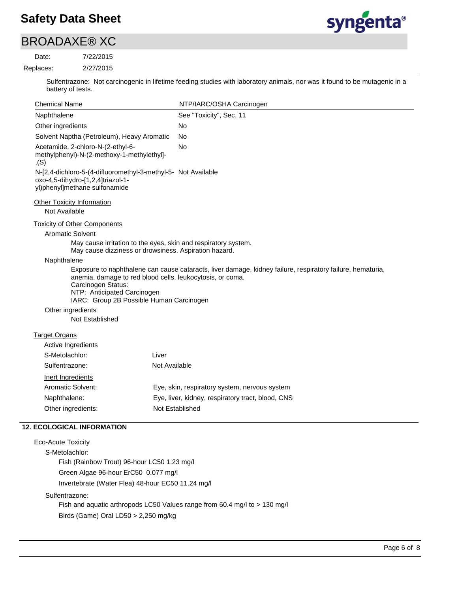# syngenta®

# BROADAXE® XC

#### 2/27/2015 7/22/2015 Replaces: Date:

Sulfentrazone: Not carcinogenic in lifetime feeding studies with laboratory animals, nor was it found to be mutagenic in a battery of tests.

| <b>Chemical Name</b>                                                                                                                                       | NTP/IARC/OSHA Carcinogen                                                                                   |
|------------------------------------------------------------------------------------------------------------------------------------------------------------|------------------------------------------------------------------------------------------------------------|
| Naphthalene                                                                                                                                                | See "Toxicity", Sec. 11                                                                                    |
| Other ingredients                                                                                                                                          | No                                                                                                         |
| Solvent Naptha (Petroleum), Heavy Aromatic                                                                                                                 | <b>No</b>                                                                                                  |
| Acetamide, 2-chloro-N-(2-ethyl-6-<br>methylphenyl)-N-(2-methoxy-1-methylethyl]-<br>, (S)                                                                   | No                                                                                                         |
| N-[2,4-dichloro-5-(4-difluoromethyl-3-methyl-5- Not Available<br>oxo-4,5-dihydro-[1,2,4]triazol-1-<br>yl)phenyl]methane sulfonamide                        |                                                                                                            |
| <b>Other Toxicity Information</b><br>Not Available                                                                                                         |                                                                                                            |
| <b>Toxicity of Other Components</b>                                                                                                                        |                                                                                                            |
| <b>Aromatic Solvent</b>                                                                                                                                    |                                                                                                            |
| May cause irritation to the eyes, skin and respiratory system.<br>May cause dizziness or drowsiness. Aspiration hazard.                                    |                                                                                                            |
| Naphthalene                                                                                                                                                |                                                                                                            |
| anemia, damage to red blood cells, leukocytosis, or coma.<br>Carcinogen Status:<br>NTP: Anticipated Carcinogen<br>IARC: Group 2B Possible Human Carcinogen | Exposure to naphthalene can cause cataracts, liver damage, kidney failure, respiratory failure, hematuria, |
| Other ingredients                                                                                                                                          |                                                                                                            |
| Not Established                                                                                                                                            |                                                                                                            |
| <b>Target Organs</b>                                                                                                                                       |                                                                                                            |
| <b>Active Ingredients</b>                                                                                                                                  |                                                                                                            |
| Liver<br>S-Metolachlor:                                                                                                                                    |                                                                                                            |
| Sulfentrazone:                                                                                                                                             | Not Available                                                                                              |
| Inert Ingredients                                                                                                                                          |                                                                                                            |
| Aromatic Solvent:                                                                                                                                          | Eye, skin, respiratory system, nervous system                                                              |
| Naphthalene:                                                                                                                                               | Eye, liver, kidney, respiratory tract, blood, CNS                                                          |
| Other ingredients:                                                                                                                                         | Not Established                                                                                            |
| <b>12. ECOLOGICAL INFORMATION</b>                                                                                                                          |                                                                                                            |
| <b>Eco-Acute Toxicity</b>                                                                                                                                  |                                                                                                            |
|                                                                                                                                                            |                                                                                                            |

S-Metolachlor: Fish (Rainbow Trout) 96-hour LC50 1.23 mg/l Green Algae 96-hour ErC50 0.077 mg/l Invertebrate (Water Flea) 48-hour EC50 11.24 mg/l

Sulfentrazone: Fish and aquatic arthropods LC50 Values range from 60.4 mg/l to > 130 mg/l Birds (Game) Oral LD50 > 2,250 mg/kg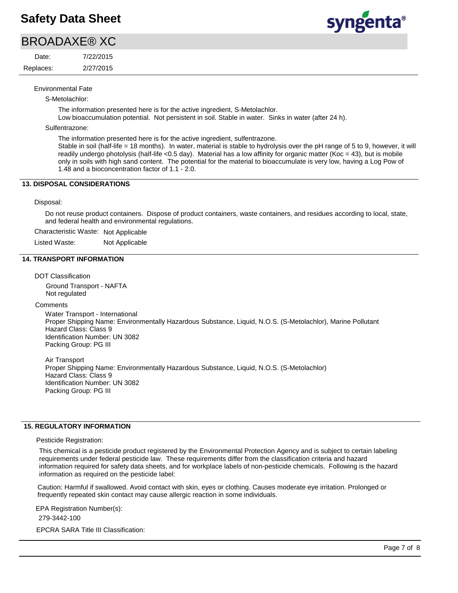# BROADAXE® XC

2/27/2015 7/22/2015 Replaces: Date:

syngenta®

Environmental Fate

S-Metolachlor:

The information presented here is for the active ingredient, S-Metolachlor.

Low bioaccumulation potential. Not persistent in soil. Stable in water. Sinks in water (after 24 h).

Sulfentrazone:

The information presented here is for the active ingredient, sulfentrazone.

Stable in soil (half-life = 18 months). In water, material is stable to hydrolysis over the pH range of 5 to 9, however, it will readily undergo photolysis (half-life <0.5 day). Material has a low affinity for organic matter (Koc = 43), but is mobile only in soils with high sand content. The potential for the material to bioaccumulate is very low, having a Log Pow of 1.48 and a bioconcentration factor of 1.1 - 2.0.

## **13. DISPOSAL CONSIDERATIONS**

### Disposal:

Do not reuse product containers. Dispose of product containers, waste containers, and residues according to local, state, and federal health and environmental regulations.

Characteristic Waste: Not Applicable

Listed Waste: Not Applicable

### **14. TRANSPORT INFORMATION**

DOT Classification

Ground Transport - NAFTA Not regulated

#### **Comments**

Water Transport - International Proper Shipping Name: Environmentally Hazardous Substance, Liquid, N.O.S. (S-Metolachlor), Marine Pollutant Hazard Class: Class 9 Identification Number: UN 3082 Packing Group: PG III

Air Transport Proper Shipping Name: Environmentally Hazardous Substance, Liquid, N.O.S. (S-Metolachlor) Hazard Class: Class 9 Identification Number: UN 3082 Packing Group: PG III

## **15. REGULATORY INFORMATION**

Pesticide Registration:

This chemical is a pesticide product registered by the Environmental Protection Agency and is subject to certain labeling requirements under federal pesticide law. These requirements differ from the classification criteria and hazard information required for safety data sheets, and for workplace labels of non-pesticide chemicals. Following is the hazard information as required on the pesticide label:

Caution: Harmful if swallowed. Avoid contact with skin, eyes or clothing. Causes moderate eye irritation. Prolonged or frequently repeated skin contact may cause allergic reaction in some individuals.

EPA Registration Number(s):

279-3442-100

EPCRA SARA Title III Classification: